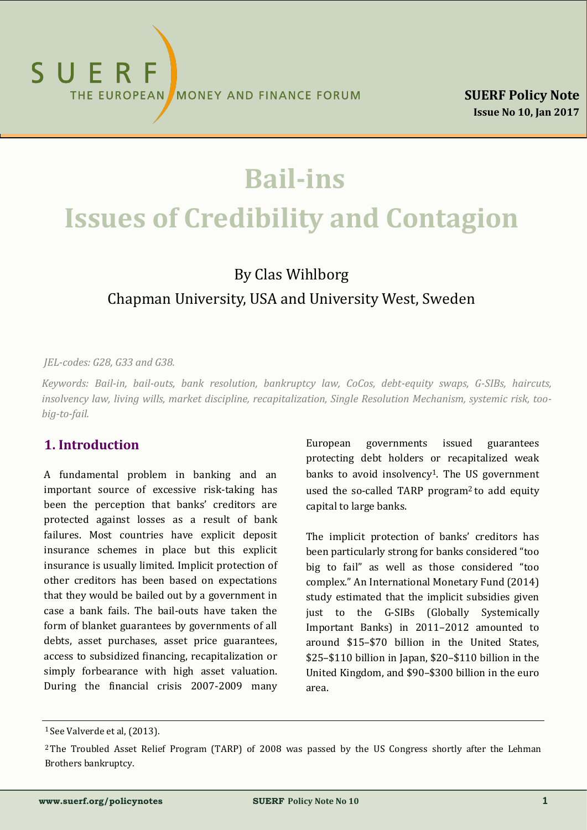# **Bail-ins Issues of Credibility and Contagion**

# By Clas Wihlborg Chapman University, USA and University West, Sweden

#### *JEL-codes: G28, G33 and G38.*

*Keywords: Bail-in, bail-outs, bank resolution, bankruptcy law, CoCos, debt-equity swaps, G-SIBs, haircuts, insolvency law, living wills, market discipline, recapitalization, Single Resolution Mechanism, systemic risk, toobig-to-fail.*

### **1. Introduction**

A fundamental problem in banking and an important source of excessive risk-taking has been the perception that banks' creditors are protected against losses as a result of bank failures. Most countries have explicit deposit insurance schemes in place but this explicit insurance is usually limited. Implicit protection of other creditors has been based on expectations that they would be bailed out by a government in case a bank fails. The bail-outs have taken the form of blanket guarantees by governments of all debts, asset purchases, asset price guarantees, access to subsidized financing, recapitalization or simply forbearance with high asset valuation. During the financial crisis 2007-2009 many

European governments issued guarantees protecting debt holders or recapitalized weak banks to avoid insolvency<sup>1</sup>. The US government used the so-called TARP program2 to add equity capital to large banks.

The implicit protection of banks' creditors has been particularly strong for banks considered "too big to fail" as well as those considered "too complex." An International Monetary Fund (2014) study estimated that the implicit subsidies given just to the G-SIBs (Globally Systemically Important Banks) in 2011–2012 amounted to around \$15–\$70 billion in the United States, \$25–\$110 billion in Japan, \$20–\$110 billion in the United Kingdom, and \$90–\$300 billion in the euro area.

<sup>&</sup>lt;sup>1</sup> See Valverde et al, (2013).

<sup>&</sup>lt;sup>2</sup>The Troubled Asset Relief Program (TARP) of 2008 was passed by the US Congress shortly after the Lehman Brothers bankruptcy.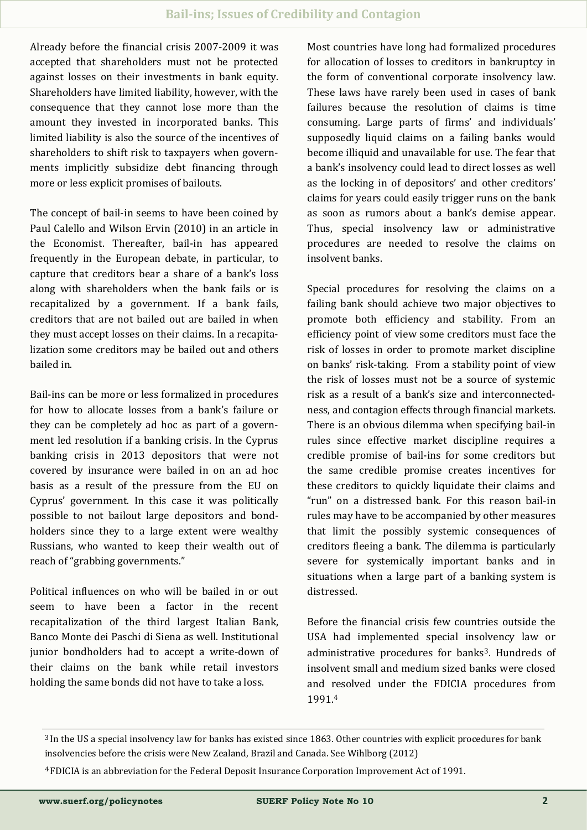Already before the financial crisis 2007-2009 it was accepted that shareholders must not be protected against losses on their investments in bank equity. Shareholders have limited liability, however, with the consequence that they cannot lose more than the amount they invested in incorporated banks. This limited liability is also the source of the incentives of shareholders to shift risk to taxpayers when governments implicitly subsidize debt financing through more or less explicit promises of bailouts.

The concept of bail-in seems to have been coined by Paul Calello and Wilson Ervin (2010) in an article in the Economist. Thereafter, bail-in has appeared frequently in the European debate, in particular, to capture that creditors bear a share of a bank's loss along with shareholders when the bank fails or is recapitalized by a government. If a bank fails, creditors that are not bailed out are bailed in when they must accept losses on their claims. In a recapitalization some creditors may be bailed out and others bailed in.

Bail-ins can be more or less formalized in procedures for how to allocate losses from a bank's failure or they can be completely ad hoc as part of a government led resolution if a banking crisis. In the Cyprus banking crisis in 2013 depositors that were not covered by insurance were bailed in on an ad hoc basis as a result of the pressure from the EU on Cyprus' government. In this case it was politically possible to not bailout large depositors and bondholders since they to a large extent were wealthy Russians, who wanted to keep their wealth out of reach of "grabbing governments."

Political influences on who will be bailed in or out seem to have been a factor in the recent recapitalization of the third largest Italian Bank, Banco Monte dei Paschi di Siena as well. Institutional junior bondholders had to accept a write-down of their claims on the bank while retail investors holding the same bonds did not have to take a loss.

Most countries have long had formalized procedures for allocation of losses to creditors in bankruptcy in the form of conventional corporate insolvency law. These laws have rarely been used in cases of bank failures because the resolution of claims is time consuming. Large parts of firms' and individuals' supposedly liquid claims on a failing banks would become illiquid and unavailable for use. The fear that a bank's insolvency could lead to direct losses as well as the locking in of depositors' and other creditors' claims for years could easily trigger runs on the bank as soon as rumors about a bank's demise appear. Thus, special insolvency law or administrative procedures are needed to resolve the claims on insolvent banks.

Special procedures for resolving the claims on a failing bank should achieve two major objectives to promote both efficiency and stability. From an efficiency point of view some creditors must face the risk of losses in order to promote market discipline on banks' risk-taking. From a stability point of view the risk of losses must not be a source of systemic risk as a result of a bank's size and interconnectedness, and contagion effects through financial markets. There is an obvious dilemma when specifying bail-in rules since effective market discipline requires a credible promise of bail-ins for some creditors but the same credible promise creates incentives for these creditors to quickly liquidate their claims and "run" on a distressed bank. For this reason bail-in rules may have to be accompanied by other measures that limit the possibly systemic consequences of creditors fleeing a bank. The dilemma is particularly severe for systemically important banks and in situations when a large part of a banking system is distressed.

Before the financial crisis few countries outside the USA had implemented special insolvency law or administrative procedures for banks<sup>3</sup>. Hundreds of insolvent small and medium sized banks were closed and resolved under the FDICIA procedures from 1991.<sup>4</sup>

4 FDICIA is an abbreviation for the Federal Deposit Insurance Corporation Improvement Act of 1991.

<sup>3</sup>In the US a special insolvency law for banks has existed since 1863. Other countries with explicit procedures for bank insolvencies before the crisis were New Zealand, Brazil and Canada. See Wihlborg (2012)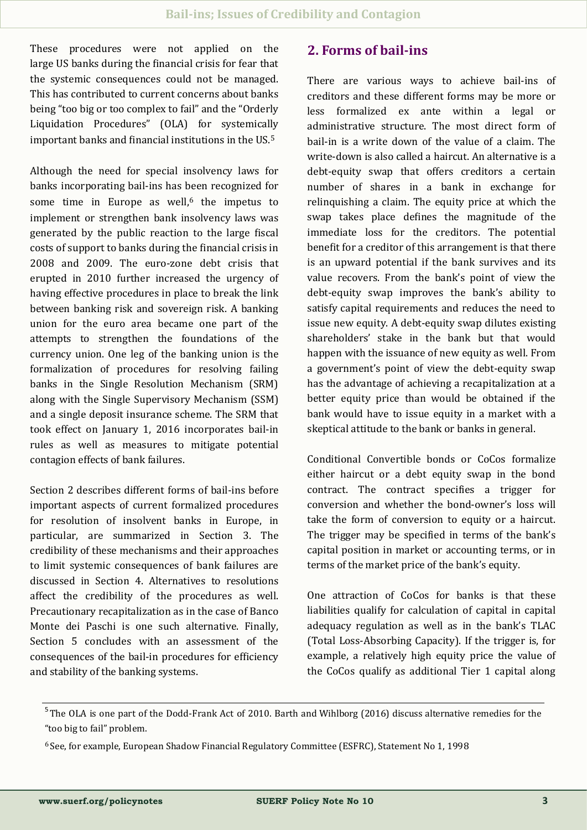These procedures were not applied on the large US banks during the financial crisis for fear that the systemic consequences could not be managed. This has contributed to current concerns about banks being "too big or too complex to fail" and the "Orderly Liquidation Procedures" (OLA) for systemically important banks and financial institutions in the US.<sup>5</sup>

Although the need for special insolvency laws for banks incorporating bail-ins has been recognized for some time in Europe as well, $6$  the impetus to implement or strengthen bank insolvency laws was generated by the public reaction to the large fiscal costs of support to banks during the financial crisis in 2008 and 2009. The euro-zone debt crisis that erupted in 2010 further increased the urgency of having effective procedures in place to break the link between banking risk and sovereign risk. A banking union for the euro area became one part of the attempts to strengthen the foundations of the currency union. One leg of the banking union is the formalization of procedures for resolving failing banks in the Single Resolution Mechanism (SRM) along with the Single Supervisory Mechanism (SSM) and a single deposit insurance scheme. The SRM that took effect on January 1, 2016 incorporates bail-in rules as well as measures to mitigate potential contagion effects of bank failures.

Section 2 describes different forms of bail-ins before important aspects of current formalized procedures for resolution of insolvent banks in Europe, in particular, are summarized in Section 3. The credibility of these mechanisms and their approaches to limit systemic consequences of bank failures are discussed in Section 4. Alternatives to resolutions affect the credibility of the procedures as well. Precautionary recapitalization as in the case of Banco Monte dei Paschi is one such alternative. Finally, Section 5 concludes with an assessment of the consequences of the bail-in procedures for efficiency and stability of the banking systems.

## **2. Forms of bail-ins**

There are various ways to achieve bail-ins of creditors and these different forms may be more or less formalized ex ante within a legal or administrative structure. The most direct form of bail-in is a write down of the value of a claim. The write-down is also called a haircut. An alternative is a debt-equity swap that offers creditors a certain number of shares in a bank in exchange for relinquishing a claim. The equity price at which the swap takes place defines the magnitude of the immediate loss for the creditors. The potential benefit for a creditor of this arrangement is that there is an upward potential if the bank survives and its value recovers. From the bank's point of view the debt-equity swap improves the bank's ability to satisfy capital requirements and reduces the need to issue new equity. A debt-equity swap dilutes existing shareholders' stake in the bank but that would happen with the issuance of new equity as well. From a government's point of view the debt-equity swap has the advantage of achieving a recapitalization at a better equity price than would be obtained if the bank would have to issue equity in a market with a skeptical attitude to the bank or banks in general.

Conditional Convertible bonds or CoCos formalize either haircut or a debt equity swap in the bond contract. The contract specifies a trigger for conversion and whether the bond-owner's loss will take the form of conversion to equity or a haircut. The trigger may be specified in terms of the bank's capital position in market or accounting terms, or in terms of the market price of the bank's equity.

One attraction of CoCos for banks is that these liabilities qualify for calculation of capital in capital adequacy regulation as well as in the bank's TLAC (Total Loss-Absorbing Capacity). If the trigger is, for example, a relatively high equity price the value of the CoCos qualify as additional Tier 1 capital along

<sup>&</sup>lt;sup>5</sup>The OLA is one part of the Dodd-Frank Act of 2010. Barth and Wihlborg (2016) discuss alternative remedies for the "too big to fail" problem.

<sup>6</sup> See, for example, European Shadow Financial Regulatory Committee (ESFRC), Statement No 1, 1998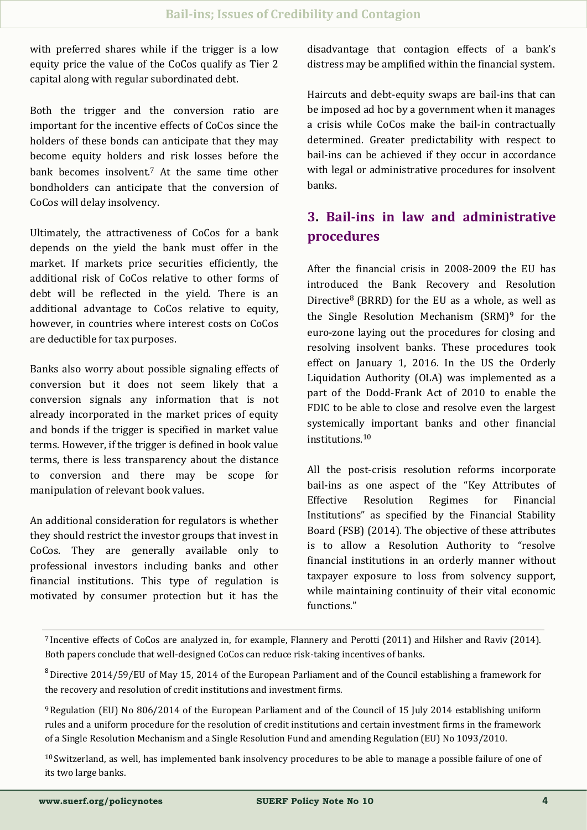with preferred shares while if the trigger is a low equity price the value of the CoCos qualify as Tier 2 capital along with regular subordinated debt.

Both the trigger and the conversion ratio are important for the incentive effects of CoCos since the holders of these bonds can anticipate that they may become equity holders and risk losses before the bank becomes insolvent.<sup>7</sup> At the same time other bondholders can anticipate that the conversion of CoCos will delay insolvency.

Ultimately, the attractiveness of CoCos for a bank depends on the yield the bank must offer in the market. If markets price securities efficiently, the additional risk of CoCos relative to other forms of debt will be reflected in the yield. There is an additional advantage to CoCos relative to equity, however, in countries where interest costs on CoCos are deductible for tax purposes.

Banks also worry about possible signaling effects of conversion but it does not seem likely that a conversion signals any information that is not already incorporated in the market prices of equity and bonds if the trigger is specified in market value terms. However, if the trigger is defined in book value terms, there is less transparency about the distance to conversion and there may be scope for manipulation of relevant book values.

An additional consideration for regulators is whether they should restrict the investor groups that invest in CoCos. They are generally available only to professional investors including banks and other financial institutions. This type of regulation is motivated by consumer protection but it has the disadvantage that contagion effects of a bank's distress may be amplified within the financial system.

Haircuts and debt-equity swaps are bail-ins that can be imposed ad hoc by a government when it manages a crisis while CoCos make the bail-in contractually determined. Greater predictability with respect to bail-ins can be achieved if they occur in accordance with legal or administrative procedures for insolvent banks.

## **3. Bail-ins in law and administrative procedures**

After the financial crisis in 2008-2009 the EU has introduced the Bank Recovery and Resolution Directive<sup>8</sup> (BRRD) for the EU as a whole, as well as the Single Resolution Mechanism (SRM)<sup>9</sup> for the euro-zone laying out the procedures for closing and resolving insolvent banks. These procedures took effect on January 1, 2016. In the US the Orderly Liquidation Authority (OLA) was implemented as a part of the Dodd-Frank Act of 2010 to enable the FDIC to be able to close and resolve even the largest systemically important banks and other financial institutions.<sup>10</sup>

All the post-crisis resolution reforms incorporate bail-ins as one aspect of the "Key Attributes of Effective Resolution Regimes for Financial Institutions" as specified by the Financial Stability Board (FSB) (2014). The objective of these attributes is to allow a Resolution Authority to "resolve financial institutions in an orderly manner without taxpayer exposure to loss from solvency support, while maintaining continuity of their vital economic functions."

<sup>7</sup> Incentive effects of CoCos are analyzed in, for example, Flannery and Perotti (2011) and Hilsher and Raviv (2014). Both papers conclude that well-designed CoCos can reduce risk-taking incentives of banks.

<sup>8</sup>Directive 2014/59/EU of May 15, 2014 of the European Parliament and of the Council establishing a framework for the recovery and resolution of credit institutions and investment firms.

<sup>9</sup>Regulation (EU) No 806/2014 of the European Parliament and of the Council of 15 July 2014 establishing uniform rules and a uniform procedure for the resolution of credit institutions and certain investment firms in the framework of a Single Resolution Mechanism and a Single Resolution Fund and amending Regulation (EU) No 1093/2010.

 $10$  Switzerland, as well, has implemented bank insolvency procedures to be able to manage a possible failure of one of its two large banks.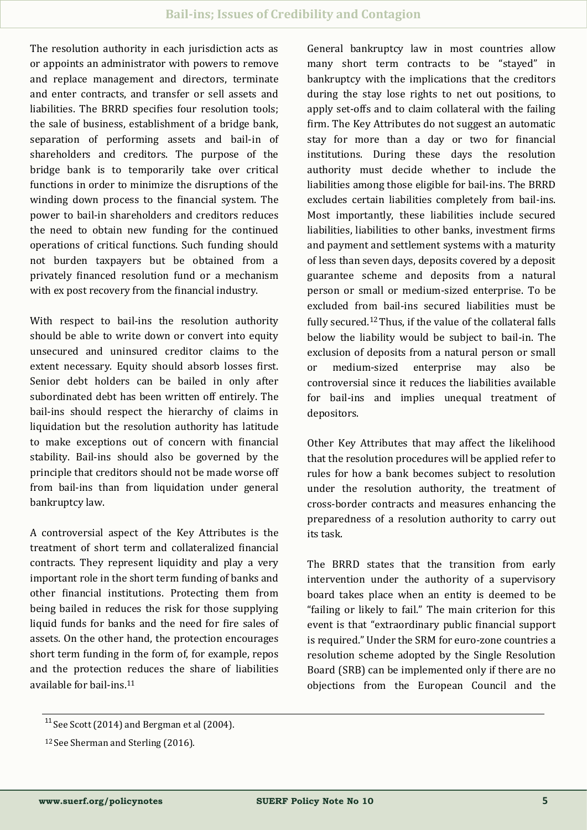The resolution authority in each jurisdiction acts as or appoints an administrator with powers to remove and replace management and directors, terminate and enter contracts, and transfer or sell assets and liabilities. The BRRD specifies four resolution tools; the sale of business, establishment of a bridge bank, separation of performing assets and bail-in of shareholders and creditors. The purpose of the bridge bank is to temporarily take over critical functions in order to minimize the disruptions of the winding down process to the financial system. The power to bail-in shareholders and creditors reduces the need to obtain new funding for the continued operations of critical functions. Such funding should not burden taxpayers but be obtained from a privately financed resolution fund or a mechanism with ex post recovery from the financial industry.

With respect to bail-ins the resolution authority should be able to write down or convert into equity unsecured and uninsured creditor claims to the extent necessary. Equity should absorb losses first. Senior debt holders can be bailed in only after subordinated debt has been written off entirely. The bail-ins should respect the hierarchy of claims in liquidation but the resolution authority has latitude to make exceptions out of concern with financial stability. Bail-ins should also be governed by the principle that creditors should not be made worse off from bail-ins than from liquidation under general bankruptcy law.

A controversial aspect of the Key Attributes is the treatment of short term and collateralized financial contracts. They represent liquidity and play a very important role in the short term funding of banks and other financial institutions. Protecting them from being bailed in reduces the risk for those supplying liquid funds for banks and the need for fire sales of assets. On the other hand, the protection encourages short term funding in the form of, for example, repos and the protection reduces the share of liabilities available for bail-ins.<sup>11</sup>

General bankruptcy law in most countries allow many short term contracts to be "stayed" in bankruptcy with the implications that the creditors during the stay lose rights to net out positions, to apply set-offs and to claim collateral with the failing firm. The Key Attributes do not suggest an automatic stay for more than a day or two for financial institutions. During these days the resolution authority must decide whether to include the liabilities among those eligible for bail-ins. The BRRD excludes certain liabilities completely from bail-ins. Most importantly, these liabilities include secured liabilities, liabilities to other banks, investment firms and payment and settlement systems with a maturity of less than seven days, deposits covered by a deposit guarantee scheme and deposits from a natural person or small or medium-sized enterprise. To be excluded from bail-ins secured liabilities must be fully secured.12Thus, if the value of the collateral falls below the liability would be subject to bail-in. The exclusion of deposits from a natural person or small or medium-sized enterprise may also be controversial since it reduces the liabilities available for bail-ins and implies unequal treatment of depositors.

Other Key Attributes that may affect the likelihood that the resolution procedures will be applied refer to rules for how a bank becomes subject to resolution under the resolution authority, the treatment of cross-border contracts and measures enhancing the preparedness of a resolution authority to carry out its task.

The BRRD states that the transition from early intervention under the authority of a supervisory board takes place when an entity is deemed to be "failing or likely to fail." The main criterion for this event is that "extraordinary public financial support is required." Under the SRM for euro-zone countries a resolution scheme adopted by the Single Resolution Board (SRB) can be implemented only if there are no objections from the European Council and the

 $11$  See Scott (2014) and Bergman et al (2004).

<sup>12</sup> See Sherman and Sterling (2016).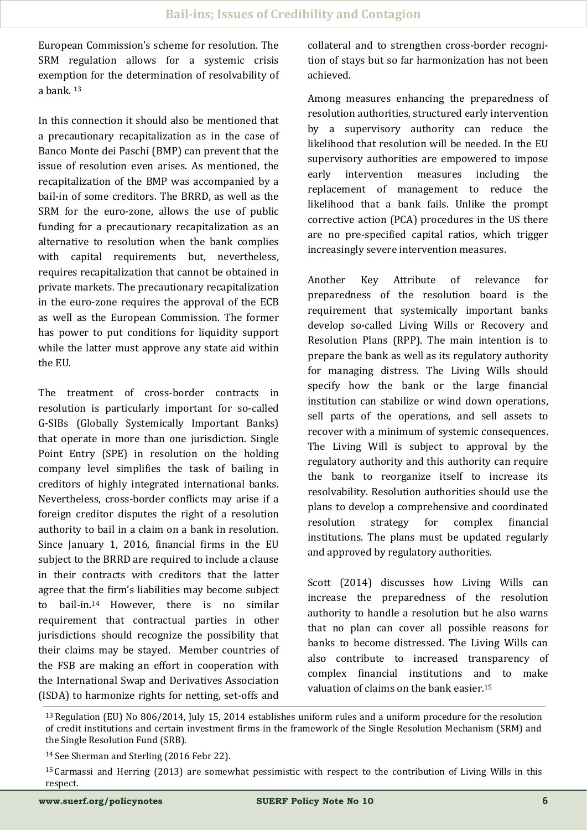European Commission's scheme for resolution. The SRM regulation allows for a systemic crisis exemption for the determination of resolvability of a bank. <sup>13</sup>

In this connection it should also be mentioned that a precautionary recapitalization as in the case of Banco Monte dei Paschi (BMP) can prevent that the issue of resolution even arises. As mentioned, the recapitalization of the BMP was accompanied by a bail-in of some creditors. The BRRD, as well as the SRM for the euro-zone, allows the use of public funding for a precautionary recapitalization as an alternative to resolution when the bank complies with capital requirements but, nevertheless, requires recapitalization that cannot be obtained in private markets. The precautionary recapitalization in the euro-zone requires the approval of the ECB as well as the European Commission. The former has power to put conditions for liquidity support while the latter must approve any state aid within the EU.

The treatment of cross-border contracts in resolution is particularly important for so-called G-SIBs (Globally Systemically Important Banks) that operate in more than one jurisdiction. Single Point Entry (SPE) in resolution on the holding company level simplifies the task of bailing in creditors of highly integrated international banks. Nevertheless, cross-border conflicts may arise if a foreign creditor disputes the right of a resolution authority to bail in a claim on a bank in resolution. Since January 1, 2016, financial firms in the EU subject to the BRRD are required to include a clause in their contracts with creditors that the latter agree that the firm's liabilities may become subject to bail-in.14 However, there is no similar requirement that contractual parties in other jurisdictions should recognize the possibility that their claims may be stayed. Member countries of the FSB are making an effort in cooperation with the International Swap and Derivatives Association (ISDA) to harmonize rights for netting, set-offs and collateral and to strengthen cross-border recognition of stays but so far harmonization has not been achieved.

Among measures enhancing the preparedness of resolution authorities, structured early intervention by a supervisory authority can reduce the likelihood that resolution will be needed. In the EU supervisory authorities are empowered to impose early intervention measures including the replacement of management to reduce the likelihood that a bank fails. Unlike the prompt corrective action (PCA) procedures in the US there are no pre-specified capital ratios, which trigger increasingly severe intervention measures.

Another Key Attribute of relevance for preparedness of the resolution board is the requirement that systemically important banks develop so-called Living Wills or Recovery and Resolution Plans (RPP). The main intention is to prepare the bank as well as its regulatory authority for managing distress. The Living Wills should specify how the bank or the large financial institution can stabilize or wind down operations, sell parts of the operations, and sell assets to recover with a minimum of systemic consequences. The Living Will is subject to approval by the regulatory authority and this authority can require the bank to reorganize itself to increase its resolvability. Resolution authorities should use the plans to develop a comprehensive and coordinated resolution strategy for complex financial institutions. The plans must be updated regularly and approved by regulatory authorities.

Scott (2014) discusses how Living Wills can increase the preparedness of the resolution authority to handle a resolution but he also warns that no plan can cover all possible reasons for banks to become distressed. The Living Wills can also contribute to increased transparency of complex financial institutions and to make valuation of claims on the bank easier.<sup>15</sup>

<sup>13</sup> Regulation (EU) No 806/2014, July 15, 2014 establishes uniform rules and a uniform procedure for the resolution of credit institutions and certain investment firms in the framework of the Single Resolution Mechanism (SRM) and the Single Resolution Fund (SRB).

<sup>14</sup> See Sherman and Sterling (2016 Febr 22).

<sup>15</sup> Carmassi and Herring (2013) are somewhat pessimistic with respect to the contribution of Living Wills in this respect.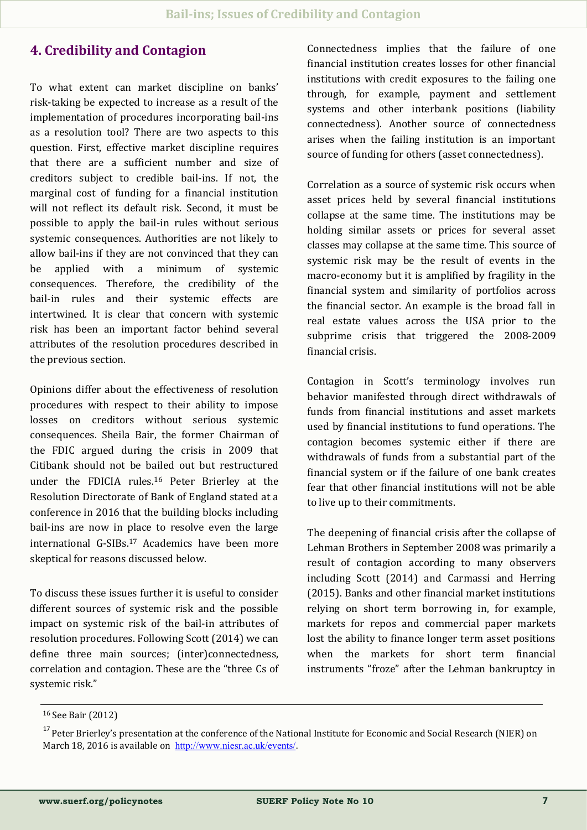## **4. Credibility and Contagion**

To what extent can market discipline on banks' risk-taking be expected to increase as a result of the implementation of procedures incorporating bail-ins as a resolution tool? There are two aspects to this question. First, effective market discipline requires that there are a sufficient number and size of creditors subject to credible bail-ins. If not, the marginal cost of funding for a financial institution will not reflect its default risk. Second, it must be possible to apply the bail-in rules without serious systemic consequences. Authorities are not likely to allow bail-ins if they are not convinced that they can be applied with a minimum of systemic consequences. Therefore, the credibility of the bail-in rules and their systemic effects are intertwined. It is clear that concern with systemic risk has been an important factor behind several attributes of the resolution procedures described in the previous section.

Opinions differ about the effectiveness of resolution procedures with respect to their ability to impose losses on creditors without serious systemic consequences. Sheila Bair, the former Chairman of the FDIC argued during the crisis in 2009 that Citibank should not be bailed out but restructured under the FDICIA rules.<sup>16</sup> Peter Brierley at the Resolution Directorate of Bank of England stated at a conference in 2016 that the building blocks including bail-ins are now in place to resolve even the large international G-SIBs.<sup>17</sup> Academics have been more skeptical for reasons discussed below.

To discuss these issues further it is useful to consider different sources of systemic risk and the possible impact on systemic risk of the bail-in attributes of resolution procedures. Following Scott (2014) we can define three main sources; (inter)connectedness, correlation and contagion. These are the "three Cs of systemic risk."

Connectedness implies that the failure of one financial institution creates losses for other financial institutions with credit exposures to the failing one through, for example, payment and settlement systems and other interbank positions (liability connectedness). Another source of connectedness arises when the failing institution is an important source of funding for others (asset connectedness).

Correlation as a source of systemic risk occurs when asset prices held by several financial institutions collapse at the same time. The institutions may be holding similar assets or prices for several asset classes may collapse at the same time. This source of systemic risk may be the result of events in the macro-economy but it is amplified by fragility in the financial system and similarity of portfolios across the financial sector. An example is the broad fall in real estate values across the USA prior to the subprime crisis that triggered the 2008-2009 financial crisis.

Contagion in Scott's terminology involves run behavior manifested through direct withdrawals of funds from financial institutions and asset markets used by financial institutions to fund operations. The contagion becomes systemic either if there are withdrawals of funds from a substantial part of the financial system or if the failure of one bank creates fear that other financial institutions will not be able to live up to their commitments.

The deepening of financial crisis after the collapse of Lehman Brothers in September 2008 was primarily a result of contagion according to many observers including Scott (2014) and Carmassi and Herring (2015). Banks and other financial market institutions relying on short term borrowing in, for example, markets for repos and commercial paper markets lost the ability to finance longer term asset positions when the markets for short term financial instruments "froze" after the Lehman bankruptcy in

<sup>16</sup> See Bair (2012)

<sup>&</sup>lt;sup>17</sup> Peter Brierley's presentation at the conference of the National Institute for Economic and Social Research (NIER) on March 18, 2016 is available on [http://www.niesr.ac.uk/events/](http://www.niesr.ac.uk/sites/default/files/files/(Banking)_(BCV)_9971709_v_2_Are%20banks%20no%20longer%20national%20in%20death_%20v2.pdf).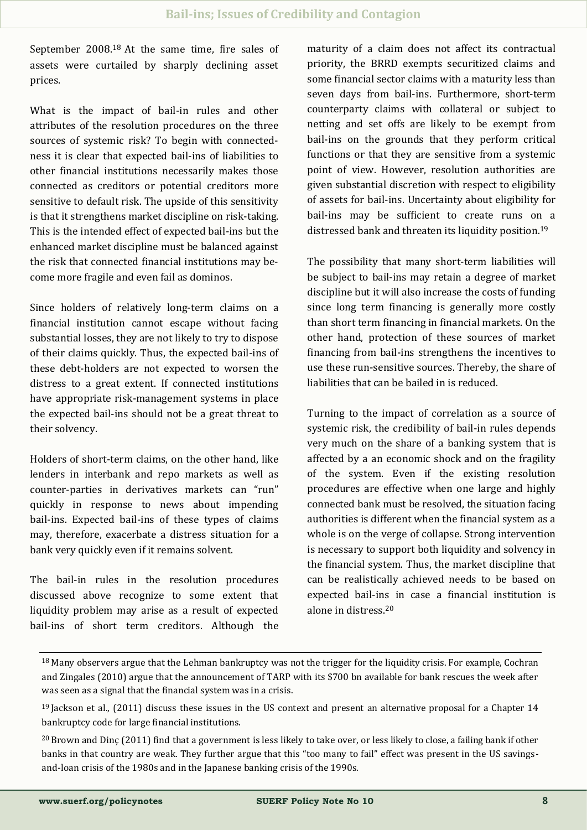September 2008.<sup>18</sup> At the same time, fire sales of assets were curtailed by sharply declining asset prices.

What is the impact of bail-in rules and other attributes of the resolution procedures on the three sources of systemic risk? To begin with connectedness it is clear that expected bail-ins of liabilities to other financial institutions necessarily makes those connected as creditors or potential creditors more sensitive to default risk. The upside of this sensitivity is that it strengthens market discipline on risk-taking. This is the intended effect of expected bail-ins but the enhanced market discipline must be balanced against the risk that connected financial institutions may become more fragile and even fail as dominos.

Since holders of relatively long-term claims on a financial institution cannot escape without facing substantial losses, they are not likely to try to dispose of their claims quickly. Thus, the expected bail-ins of these debt-holders are not expected to worsen the distress to a great extent. If connected institutions have appropriate risk-management systems in place the expected bail-ins should not be a great threat to their solvency.

Holders of short-term claims, on the other hand, like lenders in interbank and repo markets as well as counter-parties in derivatives markets can "run" quickly in response to news about impending bail-ins. Expected bail-ins of these types of claims may, therefore, exacerbate a distress situation for a bank very quickly even if it remains solvent.

The bail-in rules in the resolution procedures discussed above recognize to some extent that liquidity problem may arise as a result of expected bail-ins of short term creditors. Although the maturity of a claim does not affect its contractual priority, the BRRD exempts securitized claims and some financial sector claims with a maturity less than seven days from bail-ins. Furthermore, short-term counterparty claims with collateral or subject to netting and set offs are likely to be exempt from bail-ins on the grounds that they perform critical functions or that they are sensitive from a systemic point of view. However, resolution authorities are given substantial discretion with respect to eligibility of assets for bail-ins. Uncertainty about eligibility for bail-ins may be sufficient to create runs on a distressed bank and threaten its liquidity position.<sup>19</sup>

The possibility that many short-term liabilities will be subject to bail-ins may retain a degree of market discipline but it will also increase the costs of funding since long term financing is generally more costly than short term financing in financial markets. On the other hand, protection of these sources of market financing from bail-ins strengthens the incentives to use these run-sensitive sources. Thereby, the share of liabilities that can be bailed in is reduced.

Turning to the impact of correlation as a source of systemic risk, the credibility of bail-in rules depends very much on the share of a banking system that is affected by a an economic shock and on the fragility of the system. Even if the existing resolution procedures are effective when one large and highly connected bank must be resolved, the situation facing authorities is different when the financial system as a whole is on the verge of collapse. Strong intervention is necessary to support both liquidity and solvency in the financial system. Thus, the market discipline that can be realistically achieved needs to be based on expected bail-ins in case a financial institution is alone in distress.<sup>20</sup>

<sup>&</sup>lt;sup>18</sup> Many observers argue that the Lehman bankruptcy was not the trigger for the liquidity crisis. For example, Cochran and Zingales (2010) argue that the announcement of TARP with its \$700 bn available for bank rescues the week after was seen as a signal that the financial system was in a crisis.

 $19$  Jackson et al., (2011) discuss these issues in the US context and present an alternative proposal for a Chapter 14 bankruptcy code for large financial institutions.

<sup>&</sup>lt;sup>20</sup> Brown and Dinc (2011) find that a government is less likely to take over, or less likely to close, a failing bank if other banks in that country are weak. They further argue that this "too many to fail" effect was present in the US savingsand-loan crisis of the 1980s and in the Japanese banking crisis of the 1990s.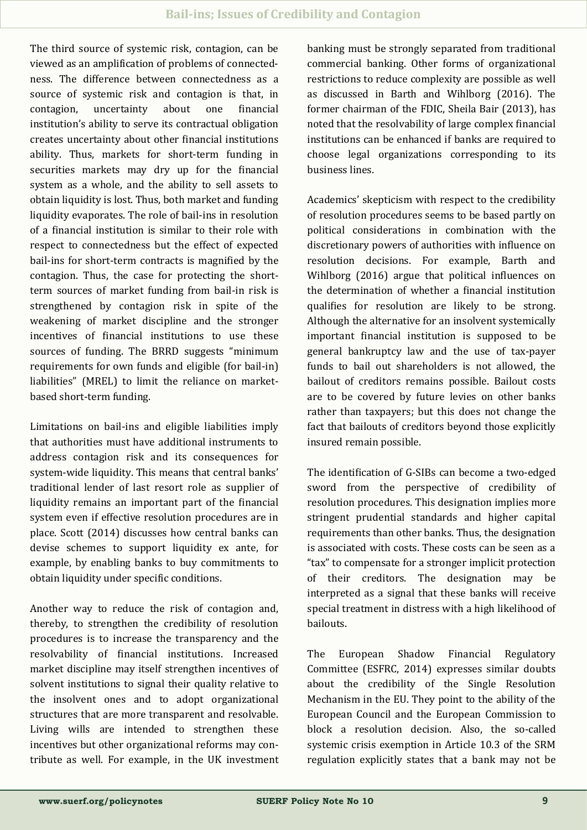The third source of systemic risk, contagion, can be viewed as an amplification of problems of connectedness. The difference between connectedness as a source of systemic risk and contagion is that, in contagion, uncertainty about one financial institution's ability to serve its contractual obligation creates uncertainty about other financial institutions ability. Thus, markets for short-term funding in securities markets may dry up for the financial system as a whole, and the ability to sell assets to obtain liquidity is lost. Thus, both market and funding liquidity evaporates. The role of bail-ins in resolution of a financial institution is similar to their role with respect to connectedness but the effect of expected bail-ins for short-term contracts is magnified by the contagion. Thus, the case for protecting the shortterm sources of market funding from bail-in risk is strengthened by contagion risk in spite of the weakening of market discipline and the stronger incentives of financial institutions to use these sources of funding. The BRRD suggests "minimum requirements for own funds and eligible (for bail-in) liabilities" (MREL) to limit the reliance on marketbased short-term funding.

Limitations on bail-ins and eligible liabilities imply that authorities must have additional instruments to address contagion risk and its consequences for system-wide liquidity. This means that central banks' traditional lender of last resort role as supplier of liquidity remains an important part of the financial system even if effective resolution procedures are in place. Scott (2014) discusses how central banks can devise schemes to support liquidity ex ante, for example, by enabling banks to buy commitments to obtain liquidity under specific conditions.

Another way to reduce the risk of contagion and, thereby, to strengthen the credibility of resolution procedures is to increase the transparency and the resolvability of financial institutions. Increased market discipline may itself strengthen incentives of solvent institutions to signal their quality relative to the insolvent ones and to adopt organizational structures that are more transparent and resolvable. Living wills are intended to strengthen these incentives but other organizational reforms may contribute as well. For example, in the UK investment banking must be strongly separated from traditional commercial banking. Other forms of organizational restrictions to reduce complexity are possible as well as discussed in Barth and Wihlborg (2016). The former chairman of the FDIC, Sheila Bair (2013), has noted that the resolvability of large complex financial institutions can be enhanced if banks are required to choose legal organizations corresponding to its business lines.

Academics' skepticism with respect to the credibility of resolution procedures seems to be based partly on political considerations in combination with the discretionary powers of authorities with influence on resolution decisions. For example, Barth and Wihlborg (2016) argue that political influences on the determination of whether a financial institution qualifies for resolution are likely to be strong. Although the alternative for an insolvent systemically important financial institution is supposed to be general bankruptcy law and the use of tax-payer funds to bail out shareholders is not allowed, the bailout of creditors remains possible. Bailout costs are to be covered by future levies on other banks rather than taxpayers; but this does not change the fact that bailouts of creditors beyond those explicitly insured remain possible.

The identification of G-SIBs can become a two-edged sword from the perspective of credibility of resolution procedures. This designation implies more stringent prudential standards and higher capital requirements than other banks. Thus, the designation is associated with costs. These costs can be seen as a "tax" to compensate for a stronger implicit protection of their creditors. The designation may be interpreted as a signal that these banks will receive special treatment in distress with a high likelihood of bailouts.

The European Shadow Financial Regulatory Committee (ESFRC, 2014) expresses similar doubts about the credibility of the Single Resolution Mechanism in the EU. They point to the ability of the European Council and the European Commission to block a resolution decision. Also, the so-called systemic crisis exemption in Article 10.3 of the SRM regulation explicitly states that a bank may not be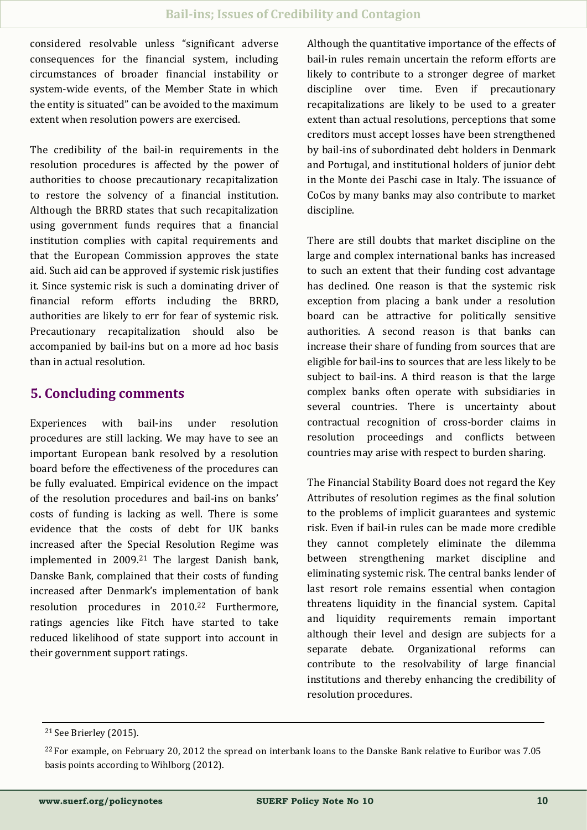considered resolvable unless "significant adverse consequences for the financial system, including circumstances of broader financial instability or system-wide events, of the Member State in which the entity is situated" can be avoided to the maximum extent when resolution powers are exercised.

The credibility of the bail-in requirements in the resolution procedures is affected by the power of authorities to choose precautionary recapitalization to restore the solvency of a financial institution. Although the BRRD states that such recapitalization using government funds requires that a financial institution complies with capital requirements and that the European Commission approves the state aid. Such aid can be approved if systemic risk justifies it. Since systemic risk is such a dominating driver of financial reform efforts including the BRRD, authorities are likely to err for fear of systemic risk. Precautionary recapitalization should also be accompanied by bail-ins but on a more ad hoc basis than in actual resolution.

## **5. Concluding comments**

Experiences with bail-ins under resolution procedures are still lacking. We may have to see an important European bank resolved by a resolution board before the effectiveness of the procedures can be fully evaluated. Empirical evidence on the impact of the resolution procedures and bail-ins on banks' costs of funding is lacking as well. There is some evidence that the costs of debt for UK banks increased after the Special Resolution Regime was implemented in 2009.<sup>21</sup> The largest Danish bank, Danske Bank, complained that their costs of funding increased after Denmark's implementation of bank resolution procedures in 2010.<sup>22</sup> Furthermore, ratings agencies like Fitch have started to take reduced likelihood of state support into account in their government support ratings.

Although the quantitative importance of the effects of bail-in rules remain uncertain the reform efforts are likely to contribute to a stronger degree of market discipline over time. Even if precautionary recapitalizations are likely to be used to a greater extent than actual resolutions, perceptions that some creditors must accept losses have been strengthened by bail-ins of subordinated debt holders in Denmark and Portugal, and institutional holders of junior debt in the Monte dei Paschi case in Italy. The issuance of CoCos by many banks may also contribute to market discipline.

There are still doubts that market discipline on the large and complex international banks has increased to such an extent that their funding cost advantage has declined. One reason is that the systemic risk exception from placing a bank under a resolution board can be attractive for politically sensitive authorities. A second reason is that banks can increase their share of funding from sources that are eligible for bail-ins to sources that are less likely to be subject to bail-ins. A third reason is that the large complex banks often operate with subsidiaries in several countries. There is uncertainty about contractual recognition of cross-border claims in resolution proceedings and conflicts between countries may arise with respect to burden sharing.

The Financial Stability Board does not regard the Key Attributes of resolution regimes as the final solution to the problems of implicit guarantees and systemic risk. Even if bail-in rules can be made more credible they cannot completely eliminate the dilemma between strengthening market discipline and eliminating systemic risk. The central banks lender of last resort role remains essential when contagion threatens liquidity in the financial system. Capital and liquidity requirements remain important although their level and design are subjects for a separate debate. Organizational reforms can contribute to the resolvability of large financial institutions and thereby enhancing the credibility of resolution procedures.

<sup>21</sup> See Brierley (2015).

<sup>&</sup>lt;sup>22</sup> For example, on February 20, 2012 the spread on interbank loans to the Danske Bank relative to Euribor was 7.05 basis points according to Wihlborg (2012).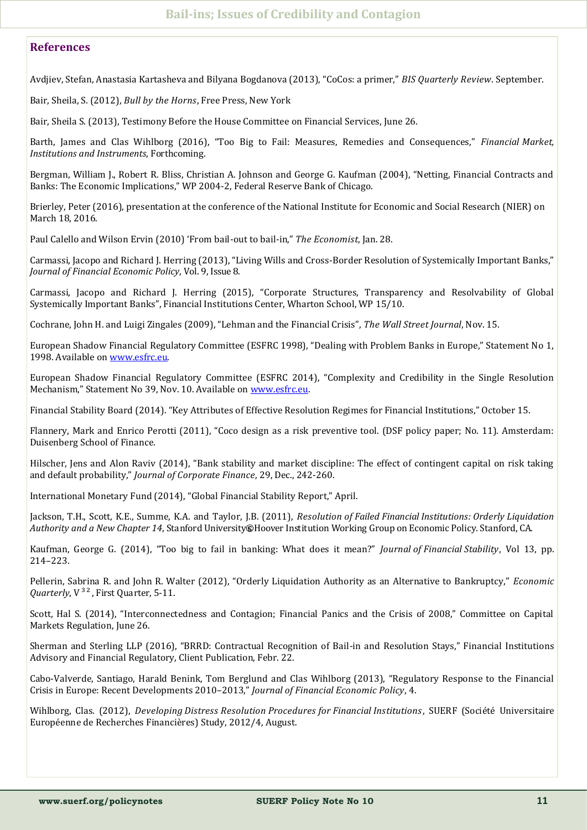#### **References**

Avdjiev, Stefan, Anastasia Kartasheva and Bilyana Bogdanova (2013), "CoCos: a primer," *BIS Quarterly Review*. September.

Bair, Sheila, S. (2012), *Bull by the Horns*, Free Press, New York

Bair, Sheila S. (2013), Testimony Before the House Committee on Financial Services, June 26.

Barth, James and Clas Wihlborg (2016), "Too Big to Fail: Measures, Remedies and Consequences," *Financial Market, Institutions and Instruments*, Forthcoming.

Bergman, William J., Robert R. Bliss, Christian A. Johnson and George G. Kaufman (2004), "Netting, Financial Contracts and Banks: The Economic Implications," WP 2004-2, Federal Reserve Bank of Chicago.

Brierley, Peter (2016), presentation at the conference of the National Institute for Economic and Social Research (NIER) on March 18, 2016.

Paul Calello and Wilson Ervin (2010) 'From bail-out to bail-in," *The Economist*, Jan. 28.

Carmassi, Jacopo and Richard J. Herring (2013), "Living Wills and Cross-Border Resolution of Systemically Important Banks," *Journal of Financial Economic Policy*, Vol. 9, Issue 8.

Carmassi, Jacopo and Richard J. Herring (2015), "Corporate Structures, Transparency and Resolvability of Global Systemically Important Banks", Financial Institutions Center, Wharton School, WP 15/10.

Cochrane, John H. and Luigi Zingales (2009), "Lehman and the Financial Crisis", *The Wall Street Journal*, Nov. 15.

European Shadow Financial Regulatory Committee (ESFRC 1998), "Dealing with Problem Banks in Europe," Statement No 1, 1998. Available on [www.esfrc.eu.](http://www.esfrc.eu/)

European Shadow Financial Regulatory Committee (ESFRC 2014), "Complexity and Credibility in the Single Resolution Mechanism," Statement No 39, Nov. 10. Available on [www.esfrc.eu.](http://www.esfrc.eu/)

Financial Stability Board (2014). "Key Attributes of Effective Resolution Regimes for Financial Institutions," October 15.

Flannery, Mark and Enrico Perotti (2011), "Coco design as a risk preventive tool. (DSF policy paper; No. 11). Amsterdam: Duisenberg School of Finance.

Hilscher, Jens and Alon Raviv (2014), "Bank stability and market discipline: The effect of contingent capital on risk taking and default probability," *Journal of Corporate Finance*, 29, Dec., 242-260.

International Monetary Fund (2014), "Global Financial Stability Report," April.

Jackson, T.H., Scott, K.E., Summe, K.A. and Taylor, J.B. (2011), *Resolution of Failed Financial Institutions: Orderly Liquidation Authority and a New Chapter 14*, Stanford University's Hoover Institution Working Group on Economic Policy. Stanford, CA.

Kaufman, George G. (2014), "Too big to fail in banking: What does it mean?" *Journal of Financial Stability*, Vol 13, pp. 214–223.

Pellerin, Sabrina R. and John R. Walter (2012), "Orderly Liquidation Authority as an Alternative to Bankruptcy," *Economic Quarterly*, V<sup>32</sup>, First Quarter, 5-11.

Scott, Hal S. (2014), "Interconnectedness and Contagion; Financial Panics and the Crisis of 2008," Committee on Capital Markets Regulation, June 26.

Sherman and Sterling LLP (2016), "BRRD: Contractual Recognition of Bail-in and Resolution Stays," Financial Institutions Advisory and Financial Regulatory, Client Publication, Febr. 22.

Cabo-Valverde, Santiago, Harald Benink, Tom Berglund and Clas Wihlborg (2013), "Regulatory Response to the Financial Crisis in Europe: Recent Developments 2010–2013," *Journal of Financial Economic Policy*, 4.

Wihlborg, Clas. (2012), *Developing Distress Resolution Procedures for Financial Institutions*, SUERF (Société Universitaire Européenne de Recherches Financières) Study, 2012/4, August.